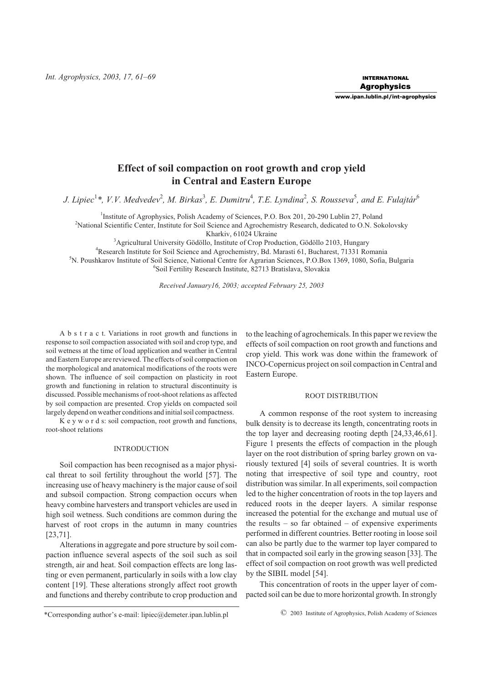*Int. Agrophysics, 2003, 17, 61–69*

## **www.ipan.lublin.pl/int-agrophysics**

# **Effect of soil compaction on root growth and crop yield in Central and Eastern Europe**

J. Lipiec<sup>1</sup>\*, V.V. Medvedev<sup>2</sup>, M. Birkas<sup>3</sup>, E. Dumitru<sup>4</sup>, T.E. Lyndina<sup>2</sup>, S. Rousseva<sup>5</sup>, and E. Fulajtár<sup>6</sup>

<sup>1</sup>Institute of Agrophysics, Polish Academy of Sciences, P.O. Box 201, 20-290 Lublin 27, Poland <sup>2</sup>National Scientific Center, Institute for Soil Science and Agrochemistry Research, dedicated to O.N. Sokolovsky Kharkiv, 61024 Ukraine

<sup>3</sup>Agricultural University Gödöllo, Institute of Crop Production, Gödöllo 2103, Hungary 4 Research Institute for Soil Science and Agrochemistry, Bd. Marasti 61, Bucharest, 71331 Romania 5 N. Poushkarov Institute of Soil Science, National Centre for Agrarian Sciences, P.O.Box 1369, 1080, Sofia, Bulgaria

6 Soil Fertility Research Institute, 82713 Bratislava, Slovakia

*Received January16, 2003; accepted February 25, 2003*

A b s t r a c t. Variations in root growth and functions in response to soil compaction associated with soil and crop type, and soil wetness at the time of load application and weather in Central and Eastern Europe are reviewed. The effects of soil compaction on the morphological and anatomical modifications of the roots were shown. The influence of soil compaction on plasticity in root growth and functioning in relation to structural discontinuity is discussed. Possible mechanisms of root-shoot relations as affected by soil compaction are presented. Crop yields on compacted soil largely depend on weather conditions and initial soil compactness.

K e y w o r d s: soil compaction, root growth and functions, root-shoot relations

### INTRODUCTION

Soil compaction has been recognised as a major physical threat to soil fertility throughout the world [57]. The increasing use of heavy machinery is the major cause of soil and subsoil compaction. Strong compaction occurs when heavy combine harvesters and transport vehicles are used in high soil wetness. Such conditions are common during the harvest of root crops in the autumn in many countries [23,71].

Alterations in aggregate and pore structure by soil compaction influence several aspects of the soil such as soil strength, air and heat. Soil compaction effects are long lasting or even permanent, particularly in soils with a low clay content [19]. These alterations strongly affect root growth and functions and thereby contribute to crop production and to the leaching of agrochemicals. In this paper we review the effects of soil compaction on root growth and functions and crop yield. This work was done within the framework of INCO-Copernicus project on soil compaction in Central and Eastern Europe.

#### ROOT DISTRIBUTION

A common response of the root system to increasing bulk density is to decrease its length, concentrating roots in the top layer and decreasing rooting depth [24,33,46,61]. Figure 1 presents the effects of compaction in the plough layer on the root distribution of spring barley grown on variously textured [4] soils of several countries. It is worth noting that irrespective of soil type and country, root distribution was similar. In all experiments, soil compaction led to the higher concentration of roots in the top layers and reduced roots in the deeper layers. A similar response increased the potential for the exchange and mutual use of the results – so far obtained – of expensive experiments performed in different countries. Better rooting in loose soil can also be partly due to the warmer top layer compared to that in compacted soil early in the growing season [33]. The effect of soil compaction on root growth was well predicted by the SIBIL model [54].

This concentration of roots in the upper layer of compacted soil can be due to more horizontal growth. In strongly

\*Corresponding author's e-mail: lipiec@demeter.ipan.lublin.pl © 2003 Institute of Agrophysics, Polish Academy of Sciences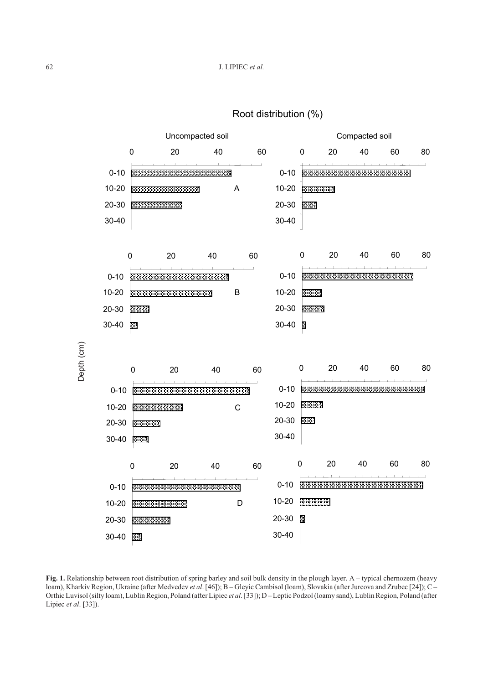

Root distribution (%)

**Fig. 1.** Relationship between root distribution of spring barley and soil bulk density in the plough layer. A – typical chernozem (heavy loam), Kharkiv Region, Ukraine (after Medvedev *et al*. [46]); B – Gleyic Cambisol (loam), Slovakia (after Jurcova and Zrubec [24]); C – Orthic Luvisol (silty loam), Lublin Region, Poland (after Lipiec *et al*. [33]); D – Leptic Podzol (loamy sand), Lublin Region, Poland (after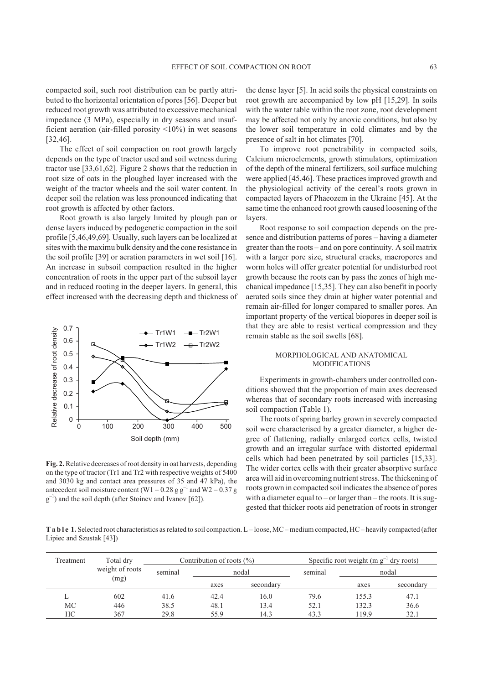compacted soil, such root distribution can be partly attributed to the horizontal orientation of pores [56]. Deeper but reduced root growth was attributed to excessive mechanical impedance (3 MPa), especially in dry seasons and insufficient aeration (air-filled porosity <10%) in wet seasons [32,46].

The effect of soil compaction on root growth largely depends on the type of tractor used and soil wetness during tractor use [33,61,62]. Figure 2 shows that the reduction in root size of oats in the ploughed layer increased with the weight of the tractor wheels and the soil water content. In deeper soil the relation was less pronounced indicating that root growth is affected by other factors.

Root growth is also largely limited by plough pan or dense layers induced by pedogenetic compaction in the soil profile [5,46,49,69]. Usually, such layers can be localized at sites with the maximu bulk density and the cone resistance in the soil profile [39] or aeration parameters in wet soil [16]. An increase in subsoil compaction resulted in the higher concentration of roots in the upper part of the subsoil layer and in reduced rooting in the deeper layers. In general, this effect increased with the decreasing depth and thickness of



**Fig. 2.**Relative decreases of root density in oat harvests, depending on the type of tractor (Tr1 and Tr2 with respective weights of 5400 and 3030 kg and contact area pressures of 35 and 47 kPa), the antecedent soil moisture content (W1 =  $0.28$  g g<sup>-1</sup> and W2 =  $0.37$  g  $g^{-1}$ ) and the soil depth (after Stoinev and Ivanov [62]).

the dense layer [5]. In acid soils the physical constraints on root growth are accompanied by low pH [15,29]. In soils with the water table within the root zone, root development may be affected not only by anoxic conditions, but also by the lower soil temperature in cold climates and by the presence of salt in hot climates [70].

To improve root penetrability in compacted soils, Calcium microelements, growth stimulators, optimization of the depth of the mineral fertilizers, soil surface mulching were applied [45,46]. These practices improved growth and the physiological activity of the cereal's roots grown in compacted layers of Phaeozem in the Ukraine [45]. At the same time the enhanced root growth caused loosening of the layers.

Root response to soil compaction depends on the presence and distribution patterns of pores – having a diameter greater than the roots – and on pore continuity. A soil matrix with a larger pore size, structural cracks, macropores and worm holes will offer greater potential for undisturbed root growth because the roots can by pass the zones of high mechanical impedance [15,35]. They can also benefit in poorly aerated soils since they drain at higher water potential and remain air-filled for longer compared to smaller pores. An important property of the vertical biopores in deeper soil is that they are able to resist vertical compression and they remain stable as the soil swells [68].

### MORPHOLOGICAL AND ANATOMICAL MODIFICATIONS

Experiments in growth-chambers under controlled conditions showed that the proportion of main axes decreased whereas that of secondary roots increased with increasing soil compaction (Table 1).

The roots of spring barley grown in severely compacted soil were characterised by a greater diameter, a higher degree of flattening, radially enlarged cortex cells, twisted growth and an irregular surface with distorted epidermal cells which had been penetrated by soil particles [15,33]. The wider cortex cells with their greater absorptive surface area will aid in overcoming nutrient stress. The thickening of roots grown in compacted soil indicates the absence of pores with a diameter equal to – or larger than – the roots. It is suggested that thicker roots aid penetration of roots in stronger

**T a b l e 1.** Selected root characteristics as related to soil compaction. L – loose, MC – medium compacted, HC – heavily compacted (after Lipiec and Szustak [43])

| Treatment | Total dry       | Contribution of roots $(\%)$ |       |           | Specific root weight ( $m g^{-1}$ dry roots) |       |           |
|-----------|-----------------|------------------------------|-------|-----------|----------------------------------------------|-------|-----------|
|           | weight of roots | seminal                      | nodal |           | seminal                                      | nodal |           |
|           | (mg)            |                              | axes  | secondary |                                              | axes  | secondary |
|           | 602             | 41.6                         | 42.4  | 16.0      | 79.6                                         | 155.3 | 47.1      |
| <b>MC</b> | 446             | 38.5                         | 48.1  | 13.4      | 52.1                                         | 132.3 | 36.6      |
| HС        | 367             | 29.8                         | 55.9  | 14.3      | 43.3                                         | 19.9  | 32.1      |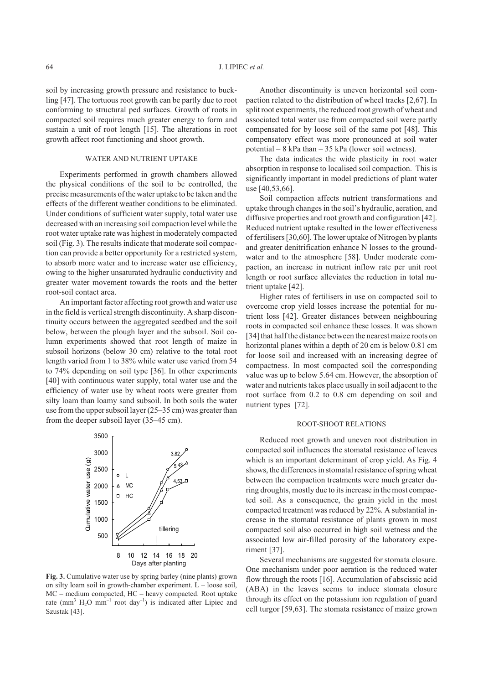soil by increasing growth pressure and resistance to buckling [47]. The tortuous root growth can be partly due to root conforming to structural ped surfaces. Growth of roots in compacted soil requires much greater energy to form and sustain a unit of root length [15]. The alterations in root growth affect root functioning and shoot growth.

# WATER AND NUTRIENT UPTAKE

Experiments performed in growth chambers allowed the physical conditions of the soil to be controlled, the precise measurements of the water uptake to be taken and the effects of the different weather conditions to be eliminated. Under conditions of sufficient water supply, total water use decreased with an increasing soil compaction level while the root water uptake rate was highest in moderately compacted soil (Fig. 3). The results indicate that moderate soil compaction can provide a better opportunity for a restricted system, to absorb more water and to increase water use efficiency, owing to the higher unsaturated hydraulic conductivity and greater water movement towards the roots and the better root-soil contact area.

An important factor affecting root growth and water use in the field is vertical strength discontinuity. A sharp discontinuity occurs between the aggregated seedbed and the soil below, between the plough layer and the subsoil. Soil column experiments showed that root length of maize in subsoil horizons (below 30 cm) relative to the total root length varied from 1 to 38% while water use varied from 54 to 74% depending on soil type [36]. In other experiments [40] with continuous water supply, total water use and the efficiency of water use by wheat roots were greater from silty loam than loamy sand subsoil. In both soils the water use from the upper subsoil layer (25–35 cm) was greater than from the deeper subsoil layer (35–45 cm).



**Fig. 3.** Cumulative water use by spring barley (nine plants) grown on silty loam soil in growth-chamber experiment. L – loose soil, MC – medium compacted, HC – heavy compacted. Root uptake rate  $\text{(mm}^3 \text{ H}_2\text{O mm}^{-1} \text{ root day}^{-1}$  is indicated after Lipiec and Szustak [43].

Another discontinuity is uneven horizontal soil compaction related to the distribution of wheel tracks [2,67]. In split root experiments, the reduced root growth of wheat and associated total water use from compacted soil were partly compensated for by loose soil of the same pot [48]. This compensatory effect was more pronounced at soil water potential – 8 kPa than – 35 kPa (lower soil wetness).

The data indicates the wide plasticity in root water absorption in response to localised soil compaction. This is significantly important in model predictions of plant water use [40,53,66].

Soil compaction affects nutrient transformations and uptake through changes in the soil's hydraulic, aeration, and diffusive properties and root growth and configuration [42]. Reduced nutrient uptake resulted in the lower effectiveness of fertilisers [30,60]. The lower uptake of Nitrogen by plants and greater denitrification enhance N losses to the groundwater and to the atmosphere [58]. Under moderate compaction, an increase in nutrient inflow rate per unit root length or root surface alleviates the reduction in total nutrient uptake [42].

Higher rates of fertilisers in use on compacted soil to overcome crop yield losses increase the potential for nutrient loss [42]. Greater distances between neighbouring roots in compacted soil enhance these losses. It was shown [34] that half the distance between the nearest maize roots on horizontal planes within a depth of 20 cm is below 0.81 cm for loose soil and increased with an increasing degree of compactness. In most compacted soil the corresponding value was up to below 5.64 cm. However, the absorption of water and nutrients takes place usually in soil adjacent to the root surface from 0.2 to 0.8 cm depending on soil and nutrient types [72].

### ROOT-SHOOT RELATIONS

Reduced root growth and uneven root distribution in compacted soil influences the stomatal resistance of leaves which is an important determinant of crop yield. As Fig. 4 shows, the differences in stomatal resistance of spring wheat between the compaction treatments were much greater during droughts, mostly due to its increase in the most compacted soil. As a consequence, the grain yield in the most compacted treatment was reduced by 22%. A substantial increase in the stomatal resistance of plants grown in most compacted soil also occurred in high soil wetness and the associated low air-filled porosity of the laboratory experiment [37].

Several mechanisms are suggested for stomata closure. One mechanism under poor aeration is the reduced water flow through the roots [16]. Accumulation of abscissic acid (ABA) in the leaves seems to induce stomata closure through its effect on the potassium ion regulation of guard cell turgor [59,63]. The stomata resistance of maize grown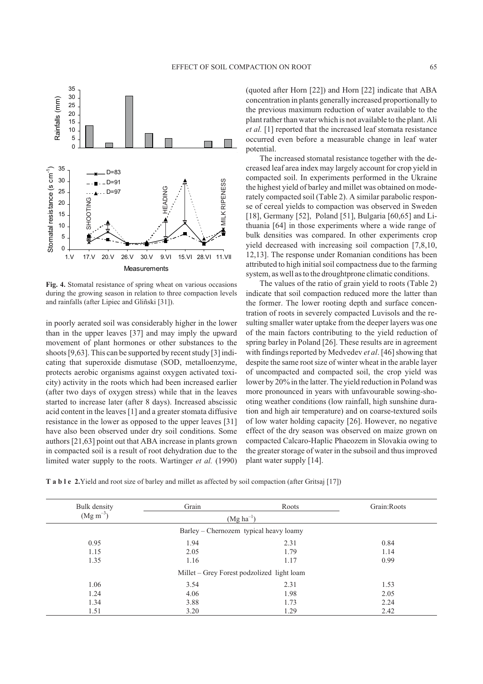

**Fig. 4.** Stomatal resistance of spring wheat on various occasions during the growing season in relation to three compaction levels and rainfalls (after Lipiec and Gliñski [31]).

in poorly aerated soil was considerably higher in the lower than in the upper leaves [37] and may imply the upward movement of plant hormones or other substances to the shoots [9,63]. This can be supported by recent study [3] indicating that superoxide dismutase (SOD, metalloenzyme, protects aerobic organisms against oxygen activated toxicity) activity in the roots which had been increased earlier (after two days of oxygen stress) while that in the leaves started to increase later (after 8 days). Increased abscissic acid content in the leaves [1] and a greater stomata diffusive resistance in the lower as opposed to the upper leaves [31] have also been observed under dry soil conditions. Some authors [21,63] point out that ABA increase in plants grown in compacted soil is a result of root dehydration due to the limited water supply to the roots. Wartinger *et al.* (1990)

(quoted after Horn [22]) and Horn [22] indicate that ABA concentration in plants generally increased proportionally to the previous maximum reduction of water available to the plant rather than water which is not available to the plant. Ali *et al.* [1] reported that the increased leaf stomata resistance occurred even before a measurable change in leaf water potential.

The increased stomatal resistance together with the decreased leaf area index may largely account for crop yield in compacted soil. In experiments performed in the Ukraine the highest yield of barley and millet was obtained on moderately compacted soil (Table 2). A similar parabolic response of cereal yields to compaction was observed in Sweden [18], Germany [52], Poland [51], Bulgaria [60,65] and Lithuania [64] in those experiments where a wide range of bulk densities was compared. In other experiments crop yield decreased with increasing soil compaction [7,8,10, 12,13]. The response under Romanian conditions has been attributed to high initial soil compactness due to the farming system, as well as to the droughtprone climatic conditions.

The values of the ratio of grain yield to roots (Table 2) indicate that soil compaction reduced more the latter than the former. The lower rooting depth and surface concentration of roots in severely compacted Luvisols and the resulting smaller water uptake from the deeper layers was one of the main factors contributing to the yield reduction of spring barley in Poland [26]. These results are in agreement with findings reported by Medvedev *et al*. [46] showing that despite the same root size of winter wheat in the arable layer of uncompacted and compacted soil, the crop yield was lower by 20% in the latter. The yield reduction in Poland was more pronounced in years with unfavourable sowing-shooting weather conditions (low rainfall, high sunshine duration and high air temperature) and on coarse-textured soils of low water holding capacity [26]. However, no negative effect of the dry season was observed on maize grown on compacted Calcaro-Haplic Phaeozem in Slovakia owing to the greater storage of water in the subsoil and thus improved plant water supply [14].

**T a b l e 2.**Yield and root size of barley and millet as affected by soil compaction (after Gritsaj [17])

| Bulk density                           | Grain          | Roots                                      | Grain: Roots |  |  |  |  |  |
|----------------------------------------|----------------|--------------------------------------------|--------------|--|--|--|--|--|
| $(Mg\ m^{-3})$                         | $(Mg ha^{-1})$ |                                            |              |  |  |  |  |  |
| Barley – Chernozem typical heavy loamy |                |                                            |              |  |  |  |  |  |
| 0.95                                   | 1.94           | 2.31                                       | 0.84         |  |  |  |  |  |
| 1.15                                   | 2.05           | 1.79                                       | 1.14         |  |  |  |  |  |
| 1.35                                   | 1.16           |                                            | 0.99         |  |  |  |  |  |
|                                        |                | Millet – Grey Forest podzolized light loam |              |  |  |  |  |  |
| 1.06                                   | 3.54           | 2.31                                       | 1.53         |  |  |  |  |  |
| 1.24                                   | 4.06           | 1.98                                       | 2.05         |  |  |  |  |  |
| 1.34<br>3.88                           |                | 1.73                                       | 2.24         |  |  |  |  |  |
| 1.51                                   | 3.20           | 1.29                                       | 2.42         |  |  |  |  |  |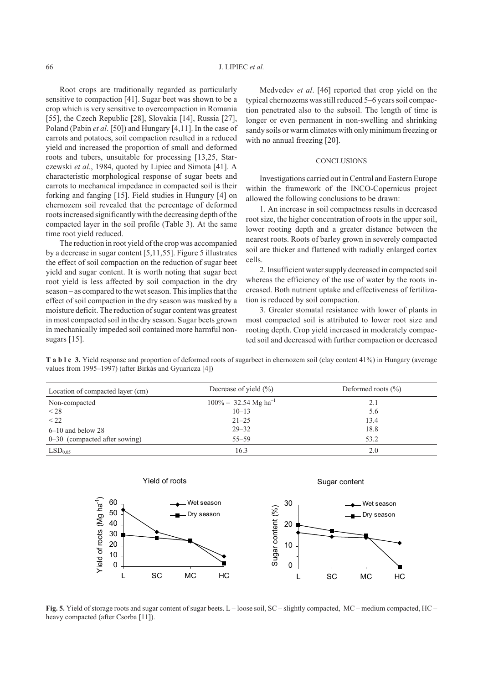Root crops are traditionally regarded as particularly sensitive to compaction [41]. Sugar beet was shown to be a crop which is very sensitive to overcompaction in Romania [55], the Czech Republic [28], Slovakia [14], Russia [27], Poland (Pabin *et al*. [50]) and Hungary [4,11]. In the case of carrots and potatoes, soil compaction resulted in a reduced yield and increased the proportion of small and deformed roots and tubers, unsuitable for processing [13,25, Starczewski *et al.*, 1984, quoted by Lipiec and Simota [41]. A characteristic morphological response of sugar beets and carrots to mechanical impedance in compacted soil is their forking and fanging [15]. Field studies in Hungury [4] on chernozem soil revealed that the percentage of deformed roots increased significantly with the decreasing depth of the compacted layer in the soil profile (Table 3). At the same time root yield reduced.

The reduction in root yield of the crop was accompanied by a decrease in sugar content [5,11,55]. Figure 5 illustrates the effect of soil compaction on the reduction of sugar beet yield and sugar content. It is worth noting that sugar beet root yield is less affected by soil compaction in the dry season – as compared to the wet season. This implies that the effect of soil compaction in the dry season was masked by a moisture deficit. The reduction of sugar content was greatest in most compacted soil in the dry season. Sugar beets grown in mechanically impeded soil contained more harmful nonsugars [15].

Medvedev *et al*. [46] reported that crop yield on the typical chernozems wasstill reduced 5–6 years soil compaction penetrated also to the subsoil. The length of time is longer or even permanent in non-swelling and shrinking sandy soils or warm climates with only minimum freezing or with no annual freezing [20].

#### **CONCLUSIONS**

Investigations carried out in Central and Eastern Europe within the framework of the INCO-Copernicus project allowed the following conclusions to be drawn:

1. An increase in soil compactness results in decreased root size, the higher concentration of roots in the upper soil, lower rooting depth and a greater distance between the nearest roots. Roots of barley grown in severely compacted soil are thicker and flattened with radially enlarged cortex cells.

2. Insufficient water supply decreased in compacted soil whereas the efficiency of the use of water by the roots increased. Both nutrient uptake and effectiveness of fertilization is reduced by soil compaction.

3. Greater stomatal resistance with lower of plants in most compacted soil is attributed to lower root size and rooting depth. Crop yield increased in moderately compacted soil and decreased with further compaction or decreased

**T a b l e 3.** Yield response and proportion of deformed roots of sugarbeet in chernozem soil (clay content 41%) in Hungary (average values from 1995–1997) (after Birkás and Gyuaricza [4])

| Location of compacted layer (cm) | Decrease of yield $(\% )$           | Deformed roots $(\% )$ |
|----------------------------------|-------------------------------------|------------------------|
| Non-compacted                    | $100\% = 32.54$ Mg ha <sup>-1</sup> | 2.1                    |
| < 28                             | $10 - 13$                           | 5.6                    |
| $<$ 22                           | $21 - 25$                           | 13.4                   |
| $6-10$ and below 28              | $29 - 32$                           | 18.8                   |
| $0-30$ (compacted after sowing)  | $55 - 59$                           | 53.2                   |
| LSD <sub>0.05</sub>              | 16.3                                | 2.0                    |



**Fig. 5.** Yield of storage roots and sugar content of sugar beets. L – loose soil, SC – slightly compacted, MC – medium compacted, HC – heavy compacted (after Csorba [11]).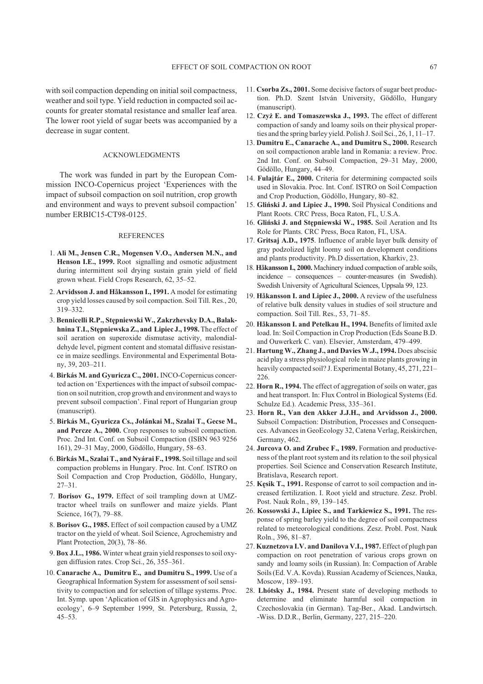with soil compaction depending on initial soil compactness, weather and soil type. Yield reduction in compacted soil accounts for greater stomatal resistance and smaller leaf area. The lower root yield of sugar beets was accompanied by a decrease in sugar content.

### ACKNOWLEDGMENTS

The work was funded in part by the European Commission INCO-Copernicus project 'Experiences with the impact of subsoil compaction on soil nutrition, crop growth and environment and ways to prevent subsoil compaction' number ERBIC15-CT98-0125.

#### **REFERENCES**

- 1. **Ali M., Jensen C.R., Mogensen V.O., Andersen M.N., and Henson I.E., 1999.** Root signalling and osmotic adjustment during intermittent soil drying sustain grain yield of field grown wheat. Field Crops Research, 62, 35–52.
- 2. **Arvidsson J. and Håkansson I., 1991.** A model for estimating crop yield losses caused by soil compaction. Soil Till. Res., 20, 319–332.
- 3. **Bennicelli R.P., Stêpniewski W., Zakrzhevsky D.A., Balakhnina T.I., Stêpniewska Z., and Lipiec J., 1998.** The effect of soil aeration on superoxide dismutase activity, malondialdehyde level, pigment content and stomatal diffusive resistance in maize seedlings. Environmental and Experimental Botany, 39, 203–211.
- 4. **Birkás M. and Gyuricza C., 2001.** INCO-Copernicus concerted action on 'Expertiences with the impact of subsoil compaction on soil nutrition, crop growth and environment and ways to prevent subsoil compaction'. Final report of Hungarian group (manuscript).
- 5. **Birkás M., Gyuricza Cs., Jolánkai M., Szalai T., Gecse M., and Percze A., 2000.** Crop responses to subsoil compaction. Proc. 2nd Int. Conf. on Subsoil Compaction (ISBN 963 9256 161), 29–31 May, 2000, Gödöllo, Hungary, 58–63.
- 6. **Birkás M., Szalai T., and Nyárai F., 1998.** Soil tillage and soil compaction problems in Hungary. Proc. Int. Conf. ISTRO on Soil Compaction and Crop Production, Gödöllo, Hungary, 27–31.
- 7. **Borisov G., 1979.** Effect of soil trampling down at UMZtractor wheel trails on sunflower and maize yields. Plant Science, 16(7), 79–88.
- 8. **Borisov G., 1985.** Effect of soil compaction caused by a UMZ tractor on the yield of wheat. Soil Science, Agrochemistry and Plant Protection, 20(3), 78–86.
- 9. **Box J.L., 1986.** Winter wheat grain yield responses to soil oxygen diffusion rates. Crop Sci., 26, 355–361.
- 10. **Canarache A., Dumitru E., and Dumitru S., 1999.** Use of a Geographical Information System for assessment of soil sensitivity to compaction and for selection of tillage systems. Proc. Int. Symp. upon 'Aplication of GIS in Agrophysics and Agroecology', 6–9 September 1999, St. Petersburg, Russia, 2, 45–53.
- 11. **Csorba Zs., 2001.** Some decisive factors of sugar beet production. Ph.D. Szent István University, Gödöllo, Hungary (manuscript).
- 12. **Czy¿ E. and Tomaszewska J., 1993.** The effect of different compaction of sandy and loamy soils on their physical properties and the spring barley yield. Polish J. Soil Sci., 26, 1, 11–17.
- 13. **Dumitru E., Canarache A., and Dumitru S., 2000.** Research on soil compactionon arable land in Romania: a review. Proc. 2nd Int. Conf. on Subsoil Compaction, 29–31 May, 2000, Gödöllo, Hungary, 44–49.
- 14. **Fulajtár E., 2000.** Criteria for determining compacted soils used in Slovakia. Proc. Int. Conf. ISTRO on Soil Compaction and Crop Production, Gödöllo, Hungary, 80–82.
- 15. **Gliñski J. and Lipiec J., 1990.** Soil Physical Conditions and Plant Roots. CRC Press, Boca Raton, FL, U.S.A.
- 16. **Gliński J. and Stępniewski W., 1985.** Soil Aeration and Its Role for Plants. CRC Press, Boca Raton, FL, USA.
- 17. **Gritsaj A.D., 1975**. Influence of arable layer bulk density of gray podzolized light loomy soil on development conditions and plants productivity. Ph.D dissertation, Kharkiv, 23.
- 18. **Håkansson I., 2000.** Machinery indued compaction of arable soils, incidence – consequences – counter-measures (in Swedish). Swedish University of Agricultural Sciences, Uppsala 99, 123.
- 19. **Håkansson I. and Lipiec J., 2000.** A review of the usefulness of relative bulk density values in studies of soil structure and compaction. Soil Till. Res., 53, 71–85.
- 20. **Håkansson I. and Petelkau H., 1994.** Benefits of limited axle load. In: Soil Compaction in Crop Production (Eds Soane B.D. and Ouwerkerk C. van). Elsevier, Amsterdam, 479–499.
- 21. **Hartung W., Zhang J., and Davies W.J., 1994.** Does abscisic acid play a stress physiological role in maize plants growing in heavily compacted soil? J. Experimental Botany, 45, 271, 221– 226.
- 22. **Horn R., 1994.** The effect of aggregation of soils on water, gas and heat transport. In: Flux Control in Biological Systems (Ed. Schulze Ed.). Academic Press, 335–361.
- 23. **Horn R., Van den Akker J.J.H., and Arvidsson J., 2000.** Subsoil Compaction: Distribution, Processes and Consequences. Advances in GeoEcology 32, Catena Verlag, Reiskirchen, Germany, 462.
- 24. **Jurcova O. and Zrubec F., 1989.** Formation and productiveness of the plant root system and its relation to the soil physical properties. Soil Science and Conservation Research Institute, Bratislava, Research report.
- 25. **Kêsik T., 1991.** Response of carrot to soil compaction and increased fertilization. I. Root yield and structure. Zesz. Probl. Post. Nauk Roln., 89, 139–145.
- 26. **Kossowski J., Lipiec S., and Tarkiewicz S., 1991.** The response of spring barley yield to the degree of soil compactness related to meteorological conditions. Zesz. Probl. Post. Nauk Roln., 396, 81–87.
- 27. **Kuznetzova I.V. and Danilova V.I., 1987.** Effect of plugh pan compaction on root penetration of various crops grown on sandy and loamy soils (in Russian). In: Compaction of Arable Soils (Ed. V.A. Kovda). Russian Academy of Sciences, Nauka, Moscow, 189–193.
- 28. **Lhótsky J., 1984.** Present state of developing methods to determine and eliminate harmful soil compaction in Czechoslovakia (in German). Tag-Ber., Akad. Landwirtsch. -Wiss. D.D.R., Berlin, Germany, 227, 215–220.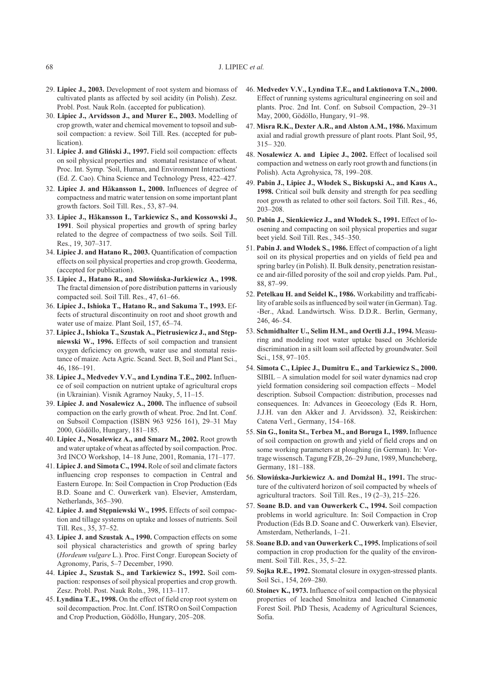- 29. **Lipiec J., 2003.** Development of root system and biomass of cultivated plants as affected by soil acidity (in Polish). Zesz. Probl. Post. Nauk Roln. (accepted for publication).
- 30. **Lipiec J., Arvidsson J., and Murer E., 2003.** Modelling of crop growth, water and chemical movement to topsoil and subsoil compaction: a review. Soil Till. Res. (accepted for publication).
- 31. **Lipiec J. and Gliñski J., 1997.** Field soil compaction: effects on soil physical properties and stomatal resistance of wheat. Proc. Int. Symp. 'Soil, Human, and Environment Interactions' (Ed. Z. Cao). China Science and Technology Press, 422–427.
- 32. **Lipiec J. and Håkansson I., 2000.** Influences of degree of compactness and matric water tension on some important plant growth factors. Soil Till. Res., 53, 87–94.
- 33. **Lipiec J., Håkansson I., Tarkiewicz S., and Kossowski J., 1991**. Soil physical properties and growth of spring barley related to the degree of compactness of two soils. Soil Till. Res., 19, 307–317.
- 34. **Lipiec J. and Hatano R., 2003.** Quantification of compaction effects on soil physical properties and crop growth. Geoderma, (accepted for publication).
- 35. **Lipiec J., Hatano R., and S³owiñska-Jurkiewicz A., 1998.** The fractal dimension of pore distribution patterns in variously compacted soil. Soil Till. Res., 47, 61–66.
- 36. **Lipiec J., Ishioka T., Hatano R., and Sakuma T., 1993.** Effects of structural discontinuity on root and shoot growth and water use of maize. Plant Soil, 157, 65–74.
- 37. **Lipiec J., Ishioka T., Szustak A., Pietrusiewicz J., and Stêpniewski W., 1996.** Effects of soil compaction and transient oxygen deficiency on growth, water use and stomatal resistance of maize. Acta Agric. Scand. Sect. B, Soil and Plant Sci., 46, 186–191.
- 38. **Lipiec J., Medvedev V.V., and Lyndina T.E., 2002.** Influence of soil compaction on nutrient uptake of agricultural crops (in Ukrainian). Visnik Agrarnoy Nauky, 5, 11–15.
- 39. **Lipiec J. and Nosalewicz A., 2000.** The influence of subsoil compaction on the early growth of wheat. Proc. 2nd Int. Conf. on Subsoil Compaction (ISBN 963 9256 161), 29–31 May 2000, Gödöllo, Hungary, 181–185.
- 40. **Lipiec J., Nosalewicz A., and Smarz M., 2002.** Root growth and water uptake of wheat as affected by soil compaction. Proc. 3rd INCO Workshop, 14–18 June, 2001, Romania, 171–177.
- 41. **Lipiec J. and Simota C., 1994.** Role of soil and climate factors influencing crop responses to compaction in Central and Eastern Europe. In: Soil Compaction in Crop Production (Eds B.D. Soane and C. Ouwerkerk van). Elsevier, Amsterdam, Netherlands, 365–390.
- 42. **Lipiec J. and Stêpniewski W., 1995.** Effects of soil compaction and tillage systems on uptake and losses of nutrients. Soil Till. Res., 35, 37–52.
- 43. **Lipiec J. and Szustak A., 1990.** Compaction effects on some soil physical characteristics and growth of spring barley (*Hordeum vulgare* L.). Proc. First Congr. European Society of Agronomy, Paris, 5–7 December, 1990.
- 44. **Lipiec J., Szustak S., and Tarkiewicz S., 1992.** Soil compaction: responses of soil physical properties and crop growth. Zesz. Probl. Post. Nauk Roln., 398, 113–117.
- 45. **Lyndina T.E., 1998.** On the effect of field crop root system on soil decompaction. Proc. Int. Conf. ISTRO on Soil Compaction and Crop Production, Gödöllo, Hungary, 205–208.
- 46. **Medvedev V.V., Lyndina T.E., and Laktionova T.N., 2000.** Effect of running systems agricultural engineering on soil and plants. Proc. 2nd Int. Conf. on Subsoil Compaction, 29–31 May, 2000, Gödöllo, Hungary, 91–98.
- 47. **Misra R.K., Dexter A.R., and Alston A.M., 1986.** Maximum axial and radial growth pressure of plant roots. Plant Soil, 95, 315– 320.
- 48. **Nosalewicz A. and Lipiec J., 2002.** Effect of localised soil compaction and wetness on early root growth and functions (in Polish). Acta Agrohysica, 78, 199–208.
- 49. **Pabin J., Lipiec J., W³odek S., Biskupski A., and Kaus A., 1998.** Critical soil bulk density and strength for pea seedling root growth as related to other soil factors. Soil Till. Res., 46, 203–208.
- 50. **Pabin J., Sienkiewicz J., and W³odek S., 1991.** Effect of loosening and compacting on soil physical properties and sugar beet yield. Soil Till. Res., 345–350.
- 51. **Pabin J. and W³odek S., 1986.** Effect of compaction of a light soil on its physical properties and on yields of field pea and spring barley (in Polish). II. Bulk density, penetration resistance and air-filled porosity of the soil and crop yields. Pam. Puł., 88, 87–99.
- 52. **Petelkau H. and Seidel K., 1986.** Workabilitty and trafficability of arable soils as influenced by soil water (in German). Tag. -Ber., Akad. Landwirtsch. Wiss. D.D.R.. Berlin, Germany, 246, 46–54.
- 53. **Schmidhalter U., Selim H.M., and Oertli J.J., 1994.** Measuring and modeling root water uptake based on 36chloride discrimination in a silt loam soil affected by groundwater. Soil Sci., 158, 97–105.
- 54. **Simota C., Lipiec J., Dumitru E., and Tarkiewicz S., 2000.** SIBIL – A simulation model for soil water dynamics nad crop yield formation considering soil compaction effects – Model description. Subsoil Compaction: distribution, processes nad consequences. In: Advances in Geoecology (Eds R. Horn, J.J.H. van den Akker and J. Arvidsson). 32, Reiskirchen: Catena Verl., Germany, 154–168.
- 55. **Sin G., Ionita St., Terbea M., and Boruga I., 1989.** Influence of soil compaction on growth and yield of field crops and on some working parameters at ploughing (in German). In: Vortrage wissensch. Tagung FZB, 26–29 June, 1989, Muncheberg, Germany, 181–188.
- 56. Słowińska-Jurkiewicz A. and Domżał H., 1991. The structure of the cultivaterd horizon of soil compacted by wheels of agricultural tractors. Soil Till. Res., 19 (2–3), 215–226.
- 57. **Soane B.D. and van Ouwerkerk C., 1994.** Soil compaction problems in world agriculture. In: Soil Compaction in Crop Production (Eds B.D. Soane and C. Ouwerkerk van). Elsevier, Amsterdam, Netherlands, 1–21.
- 58. **Soane B.D. and van Ouwerkerk C., 1995.**Implications of soil compaction in crop production for the quality of the environment. Soil Till. Res., 35, 5–22.
- 59. **Sojka R.E., 1992.** Stomatal closure in oxygen-stressed plants. Soil Sci., 154, 269–280.
- 60. **Stoinev K., 1973.** Influence of soil compaction on the physical properties of leached Smolnitza and leached Cinnamonic Forest Soil. PhD Thesis, Academy of Agricultural Sciences, Sofia.